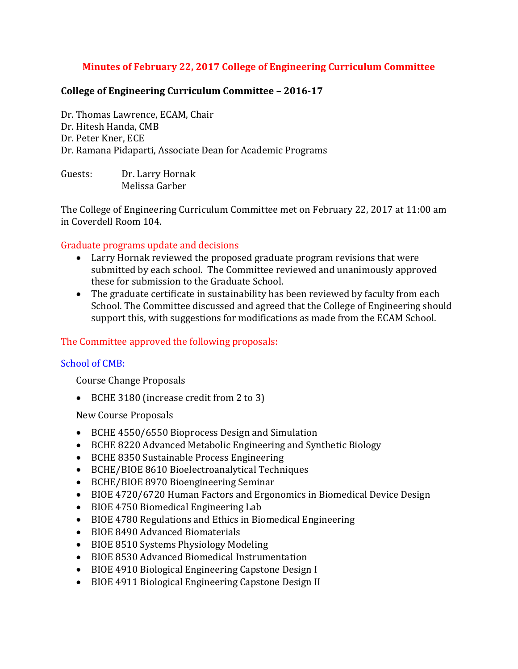## **Minutes of February 22, 2017 College of Engineering Curriculum Committee**

### **College of Engineering Curriculum Committee – 2016-17**

Dr. Thomas Lawrence, ECAM, Chair Dr. Hitesh Handa, CMB Dr. Peter Kner, ECE Dr. Ramana Pidaparti, Associate Dean for Academic Programs

Guests: Dr. Larry Hornak Melissa Garber

The College of Engineering Curriculum Committee met on February 22, 2017 at 11:00 am in Coverdell Room 104.

#### Graduate programs update and decisions

- Larry Hornak reviewed the proposed graduate program revisions that were submitted by each school. The Committee reviewed and unanimously approved these for submission to the Graduate School.
- The graduate certificate in sustainability has been reviewed by faculty from each School. The Committee discussed and agreed that the College of Engineering should support this, with suggestions for modifications as made from the ECAM School.

### The Committee approved the following proposals:

#### School of CMB:

Course Change Proposals

BCHE 3180 (increase credit from 2 to 3)

New Course Proposals

- BCHE 4550/6550 Bioprocess Design and Simulation
- BCHE 8220 Advanced Metabolic Engineering and Synthetic Biology
- BCHE 8350 Sustainable Process Engineering
- BCHE/BIOE 8610 Bioelectroanalytical Techniques
- BCHE/BIOE 8970 Bioengineering Seminar
- BIOE 4720/6720 Human Factors and Ergonomics in Biomedical Device Design
- BIOE 4750 Biomedical Engineering Lab
- BIOE 4780 Regulations and Ethics in Biomedical Engineering
- BIOE 8490 Advanced Biomaterials
- BIOE 8510 Systems Physiology Modeling
- BIOE 8530 Advanced Biomedical Instrumentation
- BIOE 4910 Biological Engineering Capstone Design I
- BIOE 4911 Biological Engineering Capstone Design II